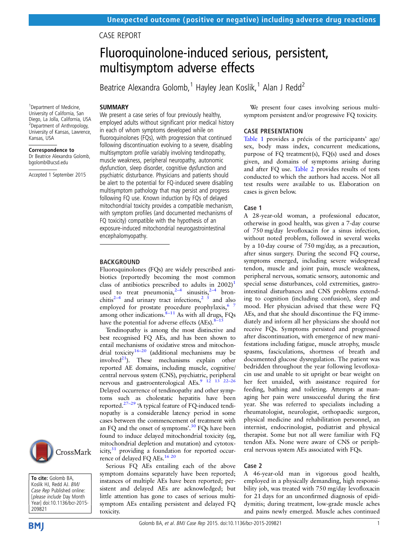### CASE REPORT

# Fluoroquinolone-induced serious, persistent, multisymptom adverse effects

Beatrice Alexandra Golomb,<sup>1</sup> Hayley Jean Koslik,<sup>1</sup> Alan J Redd<sup>2</sup>

### **SUMMARY**

<sup>1</sup>Department of Medicine, University of California, San Diego, La Jolla, California, USA 2 Department of Anthropology, University of Kansas, Lawrence, Kansas, USA

#### Correspondence to

Dr Beatrice Alexandra Golomb, bgolomb@ucsd.edu

Accepted 1 September 2015

We present a case series of four previously healthy, employed adults without significant prior medical history in each of whom symptoms developed while on fluoroquinolones (FQs), with progression that continued following discontinuation evolving to a severe, disabling multisymptom profile variably involving tendinopathy, muscle weakness, peripheral neuropathy, autonomic dysfunction, sleep disorder, cognitive dysfunction and psychiatric disturbance. Physicians and patients should be alert to the potential for FQ-induced severe disabling multisymptom pathology that may persist and progress following FQ use. Known induction by FQs of delayed mitochondrial toxicity provides a compatible mechanism, with symptom profiles (and documented mechanisms of FQ toxicity) compatible with the hypothesis of an exposure-induced mitochondrial neurogastrointestinal encephalomyopathy.

### BACKGROUND

Fluoroquinolones (FQs) are widely prescribed antibiotics (reportedly becoming the most common class of antibiotics prescribed to adults in  $2002$ <sup>[1](#page-7-0)</sup> used to treat pneumonia,  $2-4$  $2-4$  sinusitis,  $2-4$  bron-chitis<sup>2–4</sup> and urinary tract infections,<sup>[2 5](#page-7-0)</sup> and also employed for prostate procedure prophylaxis, $6/$ among other indications. $8-11$  $8-11$  As with all drugs, FQs have the potential for adverse effects  $(AEs)$ .  $8-15$  $8-15$ 

Tendinopathy is among the most distinctive and best recognised FQ AEs, and has been shown to entail mechanisms of oxidative stress and mitochondrial toxicity<sup>16–20</sup> (additional mechanisms may be involved $^{21}$ ). These mechanisms explain other reported AE domains, including muscle, cognitive/ central nervous system (CNS), psychiatric, peripheral nervous and gastroenterological AEs.<sup>9</sup> <sup>12</sup> <sup>13</sup> <sup>22-26</sup> Delayed occurrence of tendinopathy and other symptoms such as cholestatic hepatitis have been reported.[27](#page-8-0)–<sup>29</sup> 'A typical feature of FQ-induced tendinopathy is a considerable latency period in some cases between the commencement of treatment with an FQ and the onset of symptoms'.<sup>[30](#page-8-0)</sup> FQs have been found to induce delayed mitochondrial toxicity (eg, mitochondrial depletion and mutation) and cytotox $i$ city, $31$  providing a foundation for reported occurrence of delayed FQ AEs.<sup>16 20</sup>

Serious FQ AEs entailing each of the above symptom domains separately have been reported; instances of multiple AEs have been reported; persistent and delayed AEs are acknowledged; but little attention has gone to cases of serious multisymptom AEs entailing persistent and delayed FQ toxicity.

We present four cases involving serious multisymptom persistent and/or progressive FQ toxicity.

### CASE PRESENTATION

[Table 1](#page-1-0) provides a précis of the participants' age/ sex, body mass index, concurrent medications, purpose of FQ treatment(s), FQ(s) used and doses given, and domains of symptoms arising during and after FQ use. [Table 2](#page-2-0) provides results of tests conducted to which the authors had access. Not all test results were available to us. Elaboration on cases is given below.

#### Case 1

A 28-year-old woman, a professional educator, otherwise in good health, was given a 7-day course of 750 mg/day levofloxacin for a sinus infection, without noted problem, followed in several weeks by a 10-day course of 750 mg/day, as a precaution, after sinus surgery. During the second FQ course, symptoms emerged, including severe widespread tendon, muscle and joint pain, muscle weakness, peripheral nervous, somatic sensory, autonomic and special sense disturbances, cold extremities, gastrointestinal disturbances and CNS problems extending to cognition (including confusion), sleep and mood. Her physician advised that these were FQ AEs, and that she should discontinue the FQ immediately and inform all her physicians she should not receive FQs. Symptoms persisted and progressed after discontinuation, with emergence of new manifestations including fatigue, muscle atrophy, muscle spasms, fasciculations, shortness of breath and documented glucose dysregulation. The patient was bedridden throughout the year following levofloxacin use and unable to sit upright or bear weight on her feet unaided, with assistance required for feeding, bathing and toileting. Attempts at managing her pain were unsuccessful during the first year. She was referred to specialists including a rheumatologist, neurologist, orthopaedic surgeon, physical medicine and rehabilitation personnel, an internist, endocrinologist, podiatrist and physical therapist. Some but not all were familiar with FQ tendon AEs. None were aware of CNS or peripheral nervous system AEs associated with FQs.

#### Case 2

A 46-year-old man in vigorous good health, employed in a physically demanding, high responsibility job, was treated with 750 mg/day levofloxacin for 21 days for an unconfirmed diagnosis of epididymitis; during treatment, low-grade muscle aches and pains newly emerged. Muscle aches continued



To cite: Golomb BA. Koslik HJ, Redd AJ. BMJ Case Rep Published online: [please include Day Month Year] doi:10.1136/bcr-2015- 209821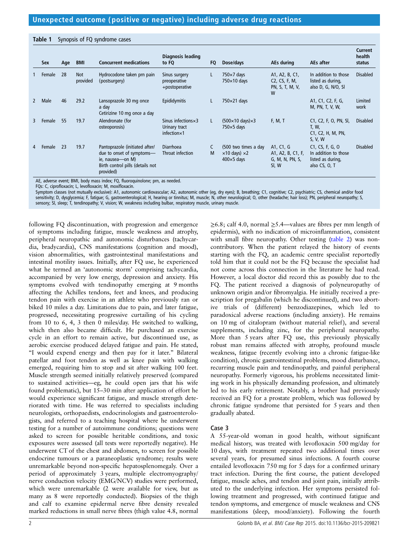| Table T<br><b>Sylicipals OF FY Sylighting Cases</b> |        |     |                        |                                                                                                                                  |                                                              |    |                                                                           |                                                            |                                                                               |                                    |
|-----------------------------------------------------|--------|-----|------------------------|----------------------------------------------------------------------------------------------------------------------------------|--------------------------------------------------------------|----|---------------------------------------------------------------------------|------------------------------------------------------------|-------------------------------------------------------------------------------|------------------------------------|
|                                                     | Sex    | Age | <b>BMI</b>             | <b>Concurrent medications</b>                                                                                                    | Diagnosis leading<br>to FQ                                   | FQ | Dose/days                                                                 | AEs during                                                 | AEs after                                                                     | <b>Current</b><br>health<br>status |
|                                                     | Female | 28  | <b>Not</b><br>provided | Hydrocodone taken prn pain<br>(postsurgery)                                                                                      | Sinus surgery<br>preoperative<br>+postoperative              |    | $750\times7$ days<br>$750\times10$ days                                   | A1, A2, B, C1,<br>C2, CS, F, M,<br>PN, S, T, M, V,<br>W    | In addition to those<br>listed as during,<br>also D, G, N/O, SI               | <b>Disabled</b>                    |
| $\mathcal{L}$                                       | Male   | 46  | 29.2                   | Lansoprazole 30 mg once<br>a day<br>Cetirizine 10 mg once a day                                                                  | Epididymitis                                                 |    | $750\times21$ days                                                        |                                                            | A1, C1, C2, F, G,<br>M, PN, T, V, W,                                          | Limited<br>work                    |
| 3.                                                  | Female | 55  | 19.7                   | Alendronate (for<br>osteoporosis)                                                                                                | Sinus infections×3<br>Urinary tract<br>$inflection \times 1$ |    | $(500\times10 \text{ days})\times3$<br>$750\times 5$ days                 | F, M, T                                                    | C1, C2, F, O, PN, SI,<br>T, W,<br>C1, C2, H, M, PN,<br>S, V, W                | <b>Disabled</b>                    |
| 4                                                   | Female | 23  | 19.7                   | Pantoprazole (initiated after/<br>due to onset of symptoms-<br>ie, nausea-on M)<br>Birth control pills (details not<br>provided) | <b>Diarrhoea</b><br>Throat infection                         | M  | (500 two times a day<br>$\times$ 10 days) $\times$ 2<br>$400\times5$ days | A1, C1, G<br>A1, A2, B, C1, F,<br>G, M, N, PN, S,<br>SI, W | C1, CS, F, G, O<br>In addition to those<br>listed as during,<br>also CS, O, T | <b>Disabled</b>                    |

AE, adverse event; BMI, body mass index; FQ, fluoroquinolone; prn, as needed.

FQs: C, ciprofloxacin; L, levofloxacin; M, moxifloxacin.

<span id="page-1-0"></span> $T_{\text{S}}$  Table 1 Syncopsis of FQ syndrome cases of FQ synopsis of FQ synopsis of FQ syndrome cases of FQ syndrome cases of FQ syndrome cases of FQ syndrome cases of FQ syndrome cases of FQ syndrome cases of FQ syndrome c

Symptom classes (not mutually exclusive): A1, autonomic cardiovascular; A2, autonomic other (eg, dry eyes); B, breathing; C1, cognitive; C2, psychiatric; CS, chemical and/or food sensitivity; D, dysglycemia; F, fatigue; G, gastroenterological; H, hearing or tinnitus; M, muscle; N, other neurological; O, other (headache; hair loss); PN, peripheral neuropathy; S, sensory; Sl, sleep; T, tendinopathy; V, vision; W, weakness including bulbar, respiratory muscle, urinary muscle.

following FQ discontinuation, with progression and emergence of symptoms including fatigue, muscle weakness and atrophy, peripheral neuropathic and autonomic disturbances (tachycardia, bradycardia), CNS manifestations (cognition and mood), vision abnormalities, with gastrointestinal manifestations and intestinal motility issues. Initially, after FQ use, he experienced what he termed an 'autonomic storm' comprising tachycardia, accompanied by very low energy, depression and anxiety. His symptoms evolved with tendinopathy emerging at 9 months affecting the Achilles tendons, feet and knees, and producing tendon pain with exercise in an athlete who previously ran or biked 10 miles a day. Limitations due to pain, and later fatigue, progressed, necessitating progressive curtailing of his cycling from 10 to 6, 4, 3 then 0 miles/day. He switched to walking, which then also became difficult. He purchased an exercise cycle in an effort to remain active, but discontinued use, as aerobic exercise produced delayed fatigue and pain. He stated, "I would expend energy and then pay for it later." Bilateral patellar and foot tendon as well as knee pain with walking emerged, requiring him to stop and sit after walking 100 feet. Muscle strength seemed initially relatively preserved (compared to sustained activities—eg, he could open jars that his wife found problematic), but 15–30 min after application of effort he would experience significant fatigue, and muscle strength deteriorated with time. He was referred to specialists including neurologists, orthopaedists, endocrinologists and gastroenterologists, and referred to a teaching hospital where he underwent testing for a number of autoimmune conditions; questions were asked to screen for possible heritable conditions, and toxic exposures were assessed (all tests were reportedly negative). He underwent CT of the chest and abdomen, to screen for possible endocrine tumours or a paraneoplastic syndrome; results were unremarkable beyond non-specific hepatosplenomegaly. Over a period of approximately 3 years, multiple electromyography/ nerve conduction velocity (EMG/NCV) studies were performed, which were unremarkable (2 were available for view, but as many as 8 were reportedly conducted). Biopsies of the thigh and calf to examine epidermal nerve fibre density revealed marked reductions in small nerve fibres (thigh value 4.8, normal

 $\geq 6.8$ ; calf 4.0, normal  $\geq 5.4$ —values are fibres per mm length of epidermis), with no indication of microinflammation, consistent with small fibre neuropathy. Other testing [\(table 2\)](#page-2-0) was noncontributory. When the patient relayed the history of events starting with the FQ, an academic centre specialist reportedly told him that it could not be the FQ because the specialist had not come across this connection in the literature he had read. However, a local doctor did record this as possibly due to the FQ. The patient received a diagnosis of polyneuropathy of unknown origin and/or fibromyalgia. He initially received a prescription for pregabalin (which he discontinued), and two abortive trials of (different) benzodiazepines, which led to paradoxical adverse reactions (including anxiety). He remains on 10 mg of citalopram (without material relief), and several supplements, including zinc, for the peripheral neuropathy. More than 5 years after FQ use, this previously physically robust man remains affected with atrophy, profound muscle weakness, fatigue (recently evolving into a chronic fatigue-like condition), chronic gastrointestinal problems, mood disturbance, recurring muscle pain and tendinopathy, and painful peripheral neuropathy. Formerly vigorous, his problems necessitated limiting work in his physically demanding profession, and ultimately led to his early retirement. Notably, a brother had previously received an FQ for a prostate problem, which was followed by chronic fatigue syndrome that persisted for 5 years and then gradually abated.

#### Case 3

A 55-year-old woman in good health, without significant medical history, was treated with levofloxacin 500 mg/day for 10 days, with treatment repeated two additional times over several years, for presumed sinus infections. A fourth course entailed levofloxacin 750 mg for 5 days for a confirmed urinary tract infection. During the first course, the patient developed fatigue, muscle aches, and tendon and joint pain, initially attributed to the underlying infection. Her symptoms persisted following treatment and progressed, with continued fatigue and tendon symptoms, and emergence of muscle weakness and CNS manifestations (sleep, mood/anxiety). Following the fourth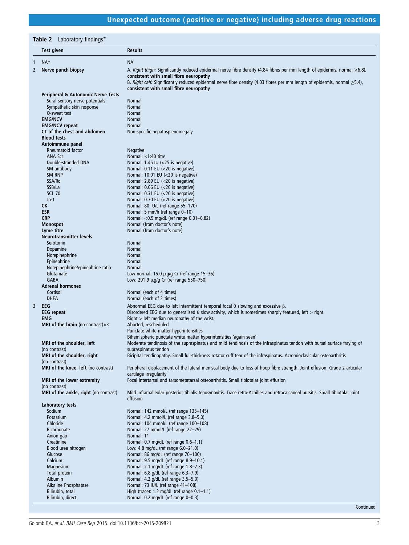### <span id="page-2-0"></span>Table 2 Laboratory findings\*

|   | <b>Test given</b>                                    | Results                                                                                                                                                                   |
|---|------------------------------------------------------|---------------------------------------------------------------------------------------------------------------------------------------------------------------------------|
| 1 | NA <sup>t</sup>                                      | <b>NA</b>                                                                                                                                                                 |
| 2 | Nerve punch biopsy                                   | A. Right thigh: Significantly reduced epidermal nerve fibre density (4.84 fibres per mm length of epidermis, normal $\geq 6.8$ ),                                         |
|   |                                                      | consistent with small fibre neuropathy                                                                                                                                    |
|   |                                                      | B. Right calf: Significantly reduced epidermal nerve fibre density (4.03 fibres per mm length of epidermis, normal $\geq$ 5.4),<br>consistent with small fibre neuropathy |
|   | <b>Peripheral &amp; Autonomic Nerve Tests</b>        |                                                                                                                                                                           |
|   | Sural sensory nerve potentials                       | Normal                                                                                                                                                                    |
|   | Sympathetic skin response                            | Normal                                                                                                                                                                    |
|   | Q-sweat test                                         | Normal                                                                                                                                                                    |
|   | <b>EMG/NCV</b><br><b>EMG/NCV repeat</b>              | Normal<br>Normal                                                                                                                                                          |
|   | CT of the chest and abdomen                          | Non-specific hepatosplenomegaly                                                                                                                                           |
|   | <b>Blood tests</b>                                   |                                                                                                                                                                           |
|   | Autoimmune panel                                     |                                                                                                                                                                           |
|   | Rheumatoid factor                                    | <b>Negative</b>                                                                                                                                                           |
|   | <b>ANA Scr</b>                                       | Normal: $<$ 1:40 titre<br>Normal: $1.45$ IU (< $25$ is negative)                                                                                                          |
|   | Double-stranded DNA<br>SM antibody                   | Normal: 0.11 EU (<20 is negative)                                                                                                                                         |
|   | SM RNP                                               | Normal: 10.01 EU (<20 is negative)                                                                                                                                        |
|   | SSA/Ro                                               | Normal: 2.89 EU (<20 is negative)                                                                                                                                         |
|   | SSB/La                                               | Normal: 0.06 EU (<20 is negative)                                                                                                                                         |
|   | <b>SCL 70</b>                                        | Normal: 0.31 EU (<20 is negative)                                                                                                                                         |
|   | $Jo-1$<br><b>CK</b>                                  | Normal: 0.70 EU (<20 is negative)<br>Normal: 80 U/L (ref range 55-170)                                                                                                    |
|   | <b>ESR</b>                                           | Normal: 5 mm/h (ref range 0-10)                                                                                                                                           |
|   | <b>CRP</b>                                           | Normal: <0.5 mg/dL (ref range 0.01-0.82)                                                                                                                                  |
|   | <b>Monospot</b>                                      | Normal (from doctor's note)                                                                                                                                               |
|   | Lyme titre                                           | Normal (from doctor's note)                                                                                                                                               |
|   | Neurotransmitter levels<br>Serotonin                 | Normal                                                                                                                                                                    |
|   | Dopamine                                             | Normal                                                                                                                                                                    |
|   | Norepinephrine                                       | Normal                                                                                                                                                                    |
|   | Epinephrine                                          | Normal                                                                                                                                                                    |
|   | Norepinephrine/epinephrine ratio                     | Normal                                                                                                                                                                    |
|   | Glutamate<br><b>GABA</b>                             | Low normal: 15.0 $\mu$ g/g Cr (ref range 15–35)<br>Low: 291.9 μg/g Cr (ref range 550-750)                                                                                 |
|   | <b>Adrenal hormones</b>                              |                                                                                                                                                                           |
|   | Cortisol                                             | Normal (each of 4 times)                                                                                                                                                  |
|   | <b>DHEA</b>                                          | Normal (each of 2 times)                                                                                                                                                  |
| 3 | <b>EEG</b>                                           | Abnormal EEG due to left intermittent temporal focal $\theta$ slowing and excessive $\beta$ .                                                                             |
|   | <b>EEG</b> repeat                                    | Disordered EEG due to generalised $\theta$ slow activity, which is sometimes sharply featured, left > right.                                                              |
|   | <b>EMG</b>                                           | Right $>$ left median neuropathy of the wrist.                                                                                                                            |
|   | <b>MRI of the brain</b> (no contrast) $\times$ 3     | Aborted, rescheduled<br>Punctate white matter hyperintensities                                                                                                            |
|   |                                                      | Bihemispheric punctate white matter hyperintensities 'again seen'                                                                                                         |
|   | MRI of the shoulder, left                            | Moderate tendinosis of the supraspinatus and mild tendinosis of the infraspinatus tendon with bursal surface fraying of                                                   |
|   | (no contrast)                                        | supraspinatus tendon                                                                                                                                                      |
|   | MRI of the shoulder, right                           | Bicipital tendinopathy. Small full-thickness rotator cuff tear of the infraspinatus. Acromioclavicular osteoarthritis                                                     |
|   | (no contrast)<br>MRI of the knee, left (no contrast) | Peripheral displacement of the lateral meniscal body due to loss of hoop fibre strength. Joint effusion. Grade 2 articular                                                |
|   |                                                      | cartilage irregularity                                                                                                                                                    |
|   | MRI of the lower extremity                           | Focal intertarsal and tarsometatarsal osteoarthritis. Small tibiotalar joint effusion                                                                                     |
|   | (no contrast)                                        |                                                                                                                                                                           |
|   | MRI of the ankle, right (no contrast)                | Mild inframalleolar posterior tibialis tenosynovitis. Trace retro-Achilles and retrocalcaneal bursitis. Small tibiotalar joint                                            |
|   | Laboratory tests                                     | effusion                                                                                                                                                                  |
|   | Sodium                                               | Normal: 142 mmol/L (ref range 135-145)                                                                                                                                    |
|   | Potassium                                            | Normal: 4.2 mmol/L (ref range 3.8-5.0)                                                                                                                                    |
|   | Chloride                                             | Normal: 104 mmol/L (ref range 100-108)                                                                                                                                    |
|   | Bicarbonate                                          | Normal: 27 mmol/L (ref range 22-29)                                                                                                                                       |
|   | Anion gap<br>Creatinine                              | Normal: 11<br>Normal: 0.7 mg/dL (ref range 0.6-1.1)                                                                                                                       |
|   | Blood urea nitrogen                                  | Low: 4.8 mg/dL (ref range 6.0-21.0)                                                                                                                                       |
|   | Glucose                                              | Normal: 86 mg/dL (ref range 70-100)                                                                                                                                       |
|   | Calcium                                              | Normal: 9.5 mg/dL (ref range 8.9-10.1)                                                                                                                                    |
|   | Magnesium                                            | Normal: 2.1 mg/dL (ref range 1.8-2.3)                                                                                                                                     |
|   | Total protein                                        | Normal: 6.8 g/dL (ref range 6.3-7.9)                                                                                                                                      |
|   | Albumin<br>Alkaline Phosphatase                      | Normal: 4.2 g/dL (ref range 3.5-5.0)<br>Normal: 73 IU/L (ref range 41-108)                                                                                                |
|   |                                                      |                                                                                                                                                                           |
|   | Bilirubin, total                                     | High (trace): $1.2 \text{ mg/dL}$ (ref range $0.1-1.1$ )                                                                                                                  |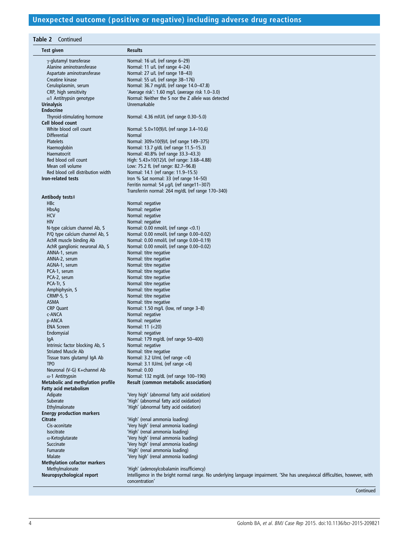### Table 2 Continued

| <b>Test given</b>                                 | <b>Results</b>                                                                                                               |
|---------------------------------------------------|------------------------------------------------------------------------------------------------------------------------------|
| γ-glutamyl transferase                            | Normal: 16 u/L (ref range 6-29)                                                                                              |
| Alanine aminotransferase                          | Normal: 11 u/L (ref range 4-24)                                                                                              |
| Aspartate aminotransferase                        | Normal: 27 u/L (ref range 18-43)                                                                                             |
| Creatine kinase                                   | Normal: 55 u/L (ref range 38-176)                                                                                            |
| Ceruloplasmin, serum                              | Normal: 36.7 mg/dL (ref range 14.0-47.8)                                                                                     |
| CRP, high sensitivity                             | 'Average risk': 1.60 mg/L (average risk 1.0-3.0)                                                                             |
| $\alpha$ 1 Antitrypsin genotype                   | Normal: Neither the S nor the Z allele was detected                                                                          |
| <b>Urinalysis</b>                                 | Unremarkable                                                                                                                 |
| <b>Endocrine</b>                                  |                                                                                                                              |
| Thyroid-stimulating hormone                       | Normal: 4.36 mIU/L (ref range 0.30–5.0)                                                                                      |
| Cell blood count                                  |                                                                                                                              |
| White blood cell count                            | Normal: $5.0 \times 10(9)$ /L (ref range 3.4–10.6)                                                                           |
| <b>Differential</b><br>Platelets                  | <b>Normal</b>                                                                                                                |
| Haemoglobin                                       | Normal: 309×10(9)/L (ref range 149-375)<br>Normal: 13.7 g/dL (ref range 11.5-15.3)                                           |
| Haematocrit                                       | Normal: 40.8% (ref range 33.3-43.3)                                                                                          |
| Red blood cell count                              | High: 5.43×10(12)/L (ref range: 3.68-4.88)                                                                                   |
| Mean cell volume                                  | Low: 75.2 fL (ref range: 82.7-96.8)                                                                                          |
| Red blood cell distribution width                 | Normal: 14.1 (ref range: 11.9-15.5)                                                                                          |
| <b>Iron-related tests</b>                         | Iron % Sat normal: 33 (ref range 14-50)                                                                                      |
|                                                   | Ferritin normal: 54 µg/L (ref range11-307)                                                                                   |
|                                                   | Transferrin normal: 264 mg/dL (ref range 170-340)                                                                            |
| Antibody tests‡                                   |                                                                                                                              |
| <b>HBc</b>                                        | Normal: negative                                                                                                             |
| HbsAq                                             | Normal: negative                                                                                                             |
| <b>HCV</b>                                        | Normal: negative                                                                                                             |
| <b>HIV</b>                                        | Normal: negative                                                                                                             |
| N-type calcium channel Ab, S                      | Normal: 0.00 nmol/L (ref range <0.1)                                                                                         |
| P/Q type calcium channel Ab, S                    | Normal: 0.00 nmol/L (ref range 0.00-0.02)                                                                                    |
| AchR muscle binding Ab                            | Normal: 0.00 nmol/L (ref range 0.00-0.19)                                                                                    |
| AchR ganglionic neuronal Ab, S                    | Normal: 0.00 nmol/L (ref range 0.00-0.02)                                                                                    |
| ANNA-1, serum                                     | Normal: titre negative                                                                                                       |
| ANNA-2, serum                                     | Normal: titre negative                                                                                                       |
| AGNA-1, serum                                     | Normal: titre negative                                                                                                       |
| PCA-1, serum<br>PCA-2, serum                      | Normal: titre negative                                                                                                       |
| PCA-Tr, S                                         | Normal: titre negative<br>Normal: titre negative                                                                             |
| Amphiphysin, S                                    | Normal: titre negative                                                                                                       |
| CRMP-5, S                                         | Normal: titre negative                                                                                                       |
| <b>ASMA</b>                                       | Normal: titre negative                                                                                                       |
| <b>CRP</b> Quant                                  | Normal: 1.50 mg/L (low, ref range 3-8)                                                                                       |
| c-ANCA                                            | Normal: negative                                                                                                             |
| <b>p-ANCA</b>                                     | Normal: negative                                                                                                             |
| <b>ENA Screen</b>                                 | Normal: 11 (<20)                                                                                                             |
| Endomysial                                        | Normal: negative                                                                                                             |
| lqA                                               | Normal: 179 mg/dL (ref range 50-400)                                                                                         |
| Intrinsic factor blocking Ab, S                   | Normal: negative                                                                                                             |
| <b>Striated Muscle Ab</b>                         | Normal: titre negative                                                                                                       |
| Tissue trans glutamyl IgA Ab                      | Normal: 3.2 U/mL (ref range $<$ 4)                                                                                           |
| <b>TPO</b>                                        | Normal: 3.1 IU/mL (ref range <4)                                                                                             |
| Neuronal (V-G) K+channel Ab                       | Normal: 0.00                                                                                                                 |
| $\alpha$ -1 Antitrypsin                           | Normal: 132 mg/dL (ref range 100-190)                                                                                        |
| Metabolic and methylation profile                 | Result (common metabolic association)                                                                                        |
| <b>Fatty acid metabolism</b>                      |                                                                                                                              |
| Adipate                                           | 'Very high' (abnormal fatty acid oxidation)                                                                                  |
| Suberate                                          | 'High' (abnormal fatty acid oxidation)<br>'High' (abnormal fatty acid oxidation)                                             |
| Ethylmalonate<br><b>Energy production markers</b> |                                                                                                                              |
| Citrate                                           | 'High' (renal ammonia loading)                                                                                               |
| Cis-aconitate                                     | 'Very high' (renal ammonia loading)                                                                                          |
| Isocitrate                                        | 'High' (renal ammonia loading)                                                                                               |
| $\alpha$ -Ketoglutarate                           | 'Very high' (renal ammonia loading)                                                                                          |
| Succinate                                         | 'Very high' (renal ammonia loading)                                                                                          |
| Fumarate                                          | 'High' (renal ammonia loading)                                                                                               |
| Malate                                            | 'Very high' (renal ammonia loading)                                                                                          |
| <b>Methylation cofactor markers</b>               |                                                                                                                              |
| Methylmalonate                                    | 'High' (adenosylcobalamin insufficiency)                                                                                     |
| Neuropsychological report                         | Intelligence in the bright normal range. No underlying language impairment. 'She has unequivocal difficulties, however, with |
|                                                   | concentration'                                                                                                               |

**Continued**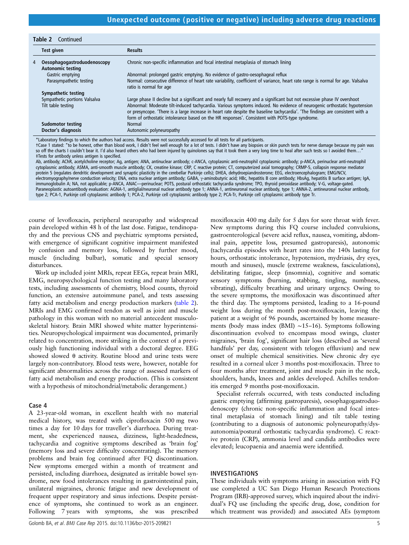| <b>Table 2</b> Continued<br><b>Test given</b> |                                                         | <b>Results</b>                                                                                                                                                                                                                                                                                                                                              |  |  |
|-----------------------------------------------|---------------------------------------------------------|-------------------------------------------------------------------------------------------------------------------------------------------------------------------------------------------------------------------------------------------------------------------------------------------------------------------------------------------------------------|--|--|
| 4                                             | Oesophagogastroduodenoscopy<br><b>Autonomic testing</b> | Chronic non-specific inflammation and focal intestinal metaplasia of stomach lining                                                                                                                                                                                                                                                                         |  |  |
|                                               | Gastric emptying                                        | Abnormal: prolonged gastric emptying. No evidence of gastro-oesophageal reflux                                                                                                                                                                                                                                                                              |  |  |
|                                               | Parasympathetic testing                                 | Normal: consecutive difference of heart rate variability, coefficient of variance, heart rate range is normal for age. Valsalva<br>ratio is normal for age                                                                                                                                                                                                  |  |  |
|                                               | Sympathetic testing                                     |                                                                                                                                                                                                                                                                                                                                                             |  |  |
|                                               | Sympathetic portions Valsalva                           | Large phase II decline but a significant and nearly full recovery and a significant but not excessive phase IV overshoot                                                                                                                                                                                                                                    |  |  |
|                                               | Tilt table testing                                      | Abnormal: Moderate tilt-induced tachycardia. Various symptoms induced. No evidence of neurogenic orthostatic hypotension<br>or presyncope. There is a large increase in heart rate despite the baseline tachycardia'. The findings are consistent with a<br>form of orthostatic intolerance based on the HR responses'. Consistent with POTS-type syndrome. |  |  |
|                                               | <b>Sudomotor testing</b>                                | Normal                                                                                                                                                                                                                                                                                                                                                      |  |  |
|                                               | Doctor's diagnosis                                      | Autonomic polyneuropathy                                                                                                                                                                                                                                                                                                                                    |  |  |

\*Laboratory findings to which the authors had access. Results were not successfully accessed for all tests for all participants.

†Case 1 stated: "to be honest, other than blood work, I didn't feel well enough for a lot of tests. I didn't have any biopsies or skin punch tests for nerve damage because my pain was so off the charts I couldn't bear it. I'd also heard others who had been injured by quinolones say that it took them a very long time to heal after such tests so I avoided them. ‡Tests for antibody unless antigen is specified.

Ab, antibody; AChR, acetylcholine receptor; Ag, antigen; ANA, antinuclear antibody; c-ANCA, cytoplasmic anti-ophil cytoplasmic antibody; p-ANCA, perinuclear anti-neutrophi<br>cytoplasmic antibody; ASMA, anti-smooth muscle ant protein 5 (regulates dendritic development and synaptic plasticity in the cerebellar Purkinje cells); DHEA, dehydroepiandrosterone; EEG, electroencephalogram; EMG/NCV, electromyography/nerve conduction velocity; ENA, extra nuclear antigen antibody; GABA,  $\gamma$ -aminobutyric acid; HBc, hepatitis B core antibody; HbsAg, hepatitis B surface antigen; IgA,<br>immunoglobulin A; NA, not applicable; Paraneoplastic autoantibody evaluation: AGNA-1, antiglial/neuronal nuclear antibody type 1; ANNA-1, antineuronal nuclear antibody, type 1; ANNA-2, antineuronal nuclear antibody, type 2; PCA-1, Purkinje cell cytoplasmic antibody 1; PCA-2, Purkinje cell cytoplasmic antibody type 2; PCA-Tr, Purkinje cell cytoplasmic antibody type Tr.

course of levofloxacin, peripheral neuropathy and widespread pain developed within 48 h of the last dose. Fatigue, tendinopathy and the previous CNS and psychiatric symptoms persisted, with emergence of significant cognitive impairment manifested by confusion and memory loss, followed by further mood, muscle (including bulbar), somatic and special sensory disturbances.

Work up included joint MRIs, repeat EEGs, repeat brain MRI, EMG, neuropsychological function testing and many laboratory tests, including assessments of chemistry, blood counts, thyroid function, an extensive autoimmune panel, and tests assessing fatty acid metabolism and energy production markers ([table 2](#page-2-0)). MRIs and EMG confirmed tendon as well as joint and muscle pathology in this woman with no material antecedent musculoskeletal history. Brain MRI showed white matter hyperintensities. Neuropsychological impairment was documented, primarily related to concentration, more striking in the context of a previously high functioning individual with a doctoral degree. EEG showed slowed θ activity. Routine blood and urine tests were largely non-contributory. Blood tests were, however, notable for significant abnormalities across the range of assessed markers of fatty acid metabolism and energy production. (This is consistent with a hypothesis of mitochondrial/metabolic derangement.)

#### Case 4

A 23-year-old woman, in excellent health with no material medical history, was treated with ciprofloxacin 500 mg two times a day for 10 days for traveller's diarrhoea. During treatment, she experienced nausea, dizziness, light-headedness, tachycardia and cognitive symptoms described as 'brain fog' (memory loss and severe difficulty concentrating). The memory problems and brain fog continued after FQ discontinuation. New symptoms emerged within a month of treatment and persisted, including diarrhoea, designated as irritable bowel syndrome, new food intolerances resulting in gastrointestinal pain, unilateral migraines, chronic fatigue and new development of frequent upper respiratory and sinus infections. Despite persistence of symptoms, she continued to work as an engineer. Following 7 years with symptoms, she was prescribed

moxifloxacin 400 mg daily for 5 days for sore throat with fever. New symptoms during this FQ course included convulsions, gastroenterological (severe acid reflux, nausea, vomiting, abdominal pain, appetite loss, presumed gastroparesis), autonomic (tachycardia episodes with heart rates into the 140s lasting for hours, orthostatic intolerance, hypotension, mydriasis, dry eyes, mouth and sinuses), muscle (extreme weakness, fasciculations), debilitating fatigue, sleep (insomnia), cognitive and somatic sensory symptoms (burning, stabbing, tingling, numbness, vibrating), difficulty breathing and urinary urgency. Owing to the severe symptoms, the moxifloxacin was discontinued after the third day. The symptoms persisted, leading to a 16-pound weight loss during the month post-moxifloxacin, leaving the patient at a weight of 96 pounds, ascertained by home measurements (body mass index (BMI) ∼15–16). Symptoms following discontinuation evolved to encompass mood swings, cluster migraines, 'brain fog', significant hair loss (described as 'several handfuls' per day, consistent with telogen effluvium) and new onset of multiple chemical sensitivities. New chronic dry eye resulted in a corneal ulcer 3 months post-moxifloxacin. Three to four months after treatment, joint and muscle pain in the neck, shoulders, hands, knees and ankles developed. Achilles tendonitis emerged 9 months post-moxifloxacin.

Specialist referrals occurred, with tests conducted including gastric emptying (affirming gastroparesis), oesophagogastroduodenoscopy (chronic non-specific inflammation and focal intestinal metaplasia of stomach lining) and tilt table testing (contributing to a diagnosis of autonomic polyneuropathy/dysautonomia/postural orthostatic tachycardia syndrome). C reactive protein (CRP), ammonia level and candida antibodies were elevated; leucopaenia and anaemia were identified.

These individuals with symptoms arising in association with FQ use completed a UC San Diego Human Research Protections Program (IRB)-approved survey, which inquired about the individual's FQ use (including the specific drug, dose, condition for which treatment was provided) and associated AEs (symptom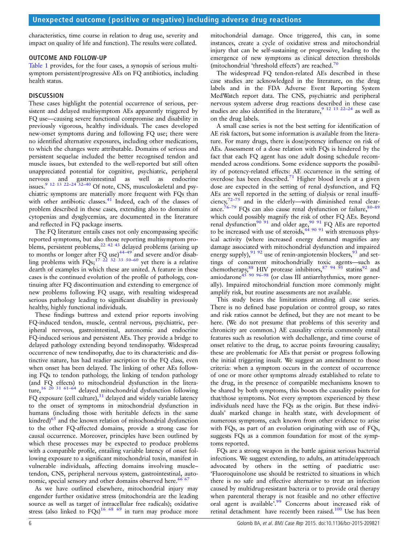characteristics, time course in relation to drug use, severity and impact on quality of life and function). The results were collated.

### OUTCOME AND FOLLOW-UP

[Table 1](#page-1-0) provides, for the four cases, a synopsis of serious multisymptom persistent/progressive AEs on FQ antibiotics, including health status.

### **DISCUSSION**

These cases highlight the potential occurrence of serious, persistent and delayed multisymptom AEs apparently triggered by FQ use—causing severe functional compromise and disability in previously vigorous, healthy individuals. The cases developed new-onset symptoms during and following FQ use; there were no identified alternative exposures, including other medications, to which the changes were attributable. Domains of serious and persistent sequelae included the better recognised tendon and muscle issues, but extended to the well-reported but still often unappreciated potential for cognitive, psychiatric, peripheral nervous and gastrointestinal as well as endocrine issues. $9\frac{9}{12}$  13 22-24 [32](#page-8-0)-40 Of note, CNS, musculoskeletal and psychiatric symptoms are materially more frequent with FQs than with other antibiotic classes.<sup>[41](#page-8-0)</sup> Indeed, each of the classes of problem described in these cases, extending also to domains of cytopenias and dysglycemias, are documented in the literature and reflected in FQ package inserts.

The FQ literature entails cases not only encompassing specific reported symptoms, but also those reporting multisymptom pro-blems, persistent problems,<sup>[22](#page-7-0) [42 43](#page-8-0)</sup> delayed problems (arising up to months or longer after  $FQ$  use)<sup>44-[49](#page-8-0)</sup> and severe and/or disabling problems with  $FQs$ ;<sup>[17 22](#page-7-0) [32 33 50](#page-8-0)–60</sup> yet there is a relative dearth of examples in which these are united. A feature in these cases is the continued evolution of the profile of pathology, continuing after FQ discontinuation and extending to emergence of new problems following FQ usage, with resulting widespread serious pathology leading to significant disability in previously healthy, highly functional individuals.

These findings buttress and extend prior reports involving FQ-induced tendon, muscle, central nervous, psychiatric, peripheral nervous, gastrointestinal, autonomic and endocrine FQ-induced serious and persistent AEs. They provide a bridge to delayed pathology extending beyond tendinopathy. Widespread occurrence of new tendinopathy, due to its characteristic and distinctive nature, has had readier ascription to the FQ class, even when onset has been delayed. The linking of other AEs following FQs to tendon pathology, the linking of tendon pathology (and FQ effects) to mitochondrial dysfunction in the literature,<sup>16</sup> <sup>20</sup> <sup>31</sup> <sup>61–64</sup> delayed mitochondrial dysfunction following FQ exposure (cell culture),<sup>[31](#page-8-0)</sup> delayed and widely variable latency to the onset of symptoms in mitochondrial dysfunction in humans (including those with heritable defects in the same kindred)<sup>[65](#page-8-0)</sup> and the known relation of mitochondrial dysfunction to the other FQ-affected domains, provide a strong case for causal occurrence. Moreover, principles have been outlined by which these processes may be expected to produce problems with a compatible profile, entailing variable latency of onset following exposure to a significant mitochondrial toxin, manifest in vulnerable individuals, affecting domains involving muscle– tendon, CNS, peripheral nervous system, gastrointestinal, auto-nomic, special sensory and other domains observed here.<sup>[66 67](#page-8-0)</sup>

As we have outlined elsewhere, mitochondrial injury may engender further oxidative stress (mitochondria are the leading source as well as target of intracellular free radicals); oxidative stress (also linked to  $FQs$ )<sup>16 [68 69](#page-8-0)</sup> in turn may produce more

mitochondrial damage. Once triggered, this can, in some instances, create a cycle of oxidative stress and mitochondrial injury that can be self-sustaining or progressive, leading to the emergence of new symptoms as clinical detection thresholds (mitochondrial 'threshold effects') are reached.[70](#page-8-0)

The widespread FQ tendon-related AEs described in these case studies are acknowledged in the literature, on the drug labels and in the FDA Adverse Event Reporting System MedWatch report data. The CNS, psychiatric and peripheral nervous system adverse drug reactions described in these case studies are also identified in the literature,  $9^{12}$  13 22–[24](#page-7-0) as well as on the drug labels.

A small case series is not the best setting for identification of AE risk factors, but some information is available from the literature. For many drugs, there is dose/potency influence on risk of AEs. Assessment of a dose relation with FQs is hindered by the fact that each FQ agent has one adult dosing schedule recommended across conditions. Some evidence supports the possibility of potency-related effects: AE occurrence in the setting of overdose has been described.<sup>71</sup> Higher blood levels at a given dose are expected in the setting of renal dysfunction, and FQ AEs are well reported in the setting of dialysis or renal insufficiency,72–[75](#page-8-0) and in the elderly—with diminished renal clearance.<sup>76–79</sup> FQs can also cause renal dysfunction or failure,  $80-89$  $80-89$ which could possibly magnify the risk of other FQ AEs. Beyond renal dysfunction<sup>[90 91](#page-9-0)</sup> and older age,<sup>90 91</sup> FQ AEs are reported to be increased with use of steroids,  $449091$  $449091$  with strenuous physical activity (where increased energy demand magnifies any damage associated with mitochondrial dysfunction and impaired energy supply), $9192$  use of renin-angiotensin blockers, $93$  and settings of concurrent mitochondrially toxic agents—such as chemotherapy,<sup>[88](#page-8-0)</sup> HIV protease inhibitors,  $87^{94}$  $87^{94}$   $95^{95}$  statins<sup>[92](#page-9-0)</sup> and amiodarone<sup>45</sup> [90 96](#page-9-0)-98 (or class III antiarrhythmics, more generally). Impaired mitochondrial function more commonly might amplify risk, but routine assessments are not available.

This study bears the limitations attending all case series. There is no defined base population or control group, so rates and risk ratios cannot be defined, but they are not meant to be here. (We do not presume that problems of this severity and chronicity are common.) AE causality criteria commonly entail features such as resolution with dechallenge, and time course of onset relative to the drug, to accrue points favouring causality; these are problematic for AEs that persist or progress following the initial triggering insult. We suggest an amendment to those criteria: when a symptom occurs in the context of occurrence of one or more other symptoms already established to relate to the drug, in the presence of compatible mechanisms known to be shared by both symptoms, this boosts the causality points for that/those symptoms. Not every symptom experienced by these individuals need have the FQs as the origin. But these individuals' marked change in health state, with development of numerous symptoms, each known from other evidence to arise with FQs, as part of an evolution originating with use of FQs, suggests FQs as a common foundation for most of the symptoms reported.

FQs are a strong weapon in the battle against serious bacterial infections. We suggest extending, to adults, an attitude/approach advocated by others in the setting of paediatric use: 'Fluoroquinolone use should be restricted to situations in which there is no safe and effective alternative to treat an infection caused by multidrug-resistant bacteria or to provide oral therapy when parenteral therapy is not feasible and no other effective oral agent is available<sup>2, [99](#page-9-0)</sup> Concerns about increased risk of retinal detachment have recently been raised.<sup>[100](#page-9-0)</sup> Use has been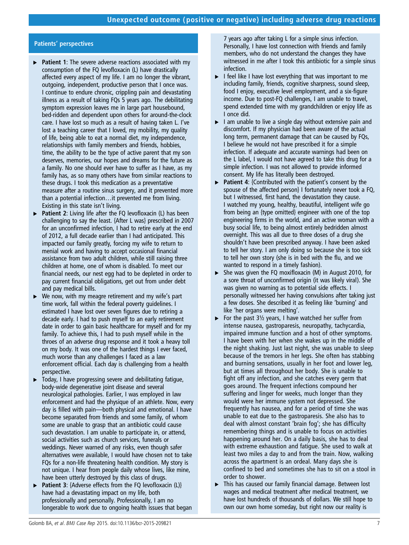### Patients' perspectives

- ▶ Patient 1: The severe adverse reactions associated with my consumption of the FQ levofloxacin (L) have drastically affected every aspect of my life. I am no longer the vibrant, outgoing, independent, productive person that I once was. I continue to endure chronic, crippling pain and devastating illness as a result of taking FQs 5 years ago. The debilitating symptom expression leaves me in large part housebound, bed-ridden and dependent upon others for around-the-clock care. I have lost so much as a result of having taken L. I've lost a teaching career that I loved, my mobility, my quality of life, being able to eat a normal diet, my independence, relationships with family members and friends, hobbies, time, the ability to be the type of active parent that my son deserves, memories, our hopes and dreams for the future as a family. No one should ever have to suffer as I have, as my family has, as so many others have from similar reactions to these drugs. I took this medication as a preventative measure after a routine sinus surgery, and it prevented more than a potential infection…it prevented me from living. Existing in this state isn't living.
- $\triangleright$  Patient 2: Living life after the FQ levofloxacin (L) has been challenging to say the least. {After L was} prescribed in 2007 for an unconfirmed infection, I had to retire early at the end of 2012, a full decade earlier than I had anticipated. This impacted our family greatly, forcing my wife to return to menial work and having to accept occasional financial assistance from two adult children, while still raising three children at home, one of whom is disabled. To meet our financial needs, our nest egg had to be depleted in order to pay current financial obligations, get out from under debt and pay medical bills.
- $\triangleright$  We now, with my meagre retirement and my wife's part time work, fall within the federal poverty guidelines. I estimated I have lost over seven figures due to retiring a decade early. I had to push myself to an early retirement date in order to gain basic healthcare for myself and for my family. To achieve this, I had to push myself while in the throes of an adverse drug response and it took a heavy toll on my body. It was one of the hardest things I ever faced, much worse than any challenges I faced as a law enforcement official. Each day is challenging from a health perspective.
- ▸ Today, I have progressing severe and debilitating fatigue, body-wide degenerative joint disease and several neurological pathologies. Earlier, I was employed in law enforcement and had the physique of an athlete. Now, every day is filled with pain—both physical and emotional. I have become separated from friends and some family, of whom some are unable to grasp that an antibiotic could cause such devastation. I am unable to participate in, or attend, social activities such as church services, funerals or weddings. Never warned of any risks, even though safer alternatives were available, I would have chosen not to take FQs for a non-life threatening health condition. My story is not unique. I hear from people daily whose lives, like mine, have been utterly destroyed by this class of drugs.
- ▶ Patient 3: {Adverse effects from the FQ levofloxacin (L)} have had a devastating impact on my life, both professionally and personally. Professionally, I am no longerable to work due to ongoing health issues that began

7 years ago after taking L for a simple sinus infection. Personally, I have lost connection with friends and family members, who do not understand the changes they have witnessed in me after I took this antibiotic for a simple sinus infection.

- ► I feel like I have lost everything that was important to me including family, friends, cognitive sharpness, sound sleep, food I enjoy, executive level employment, and a six-figure income. Due to post-FQ challenges, I am unable to travel, spend extended time with my grandchildren or enjoy life as I once did.
- $\blacktriangleright$  I am unable to live a single day without extensive pain and discomfort. If my physician had been aware of the actual long term, permanent damage that can be caused by FQs, I believe he would not have prescribed it for a simple infection. If adequate and accurate warnings had been on the L label, I would not have agreed to take this drug for a simple infection. I was not allowed to provide informed consent. My life has literally been destroyed.
- ▶ Patient 4: {Contributed with the patient's consent by the spouse of the affected person} I fortunately never took a FQ, but I witnessed, first hand, the devastation they cause. I watched my young, healthy, beautiful, intelligent wife go from being an {type omitted} engineer with one of the top engineering firms in the world, and an active woman with a busy social life, to being almost entirely bedridden almost overnight. This was all due to three doses of a drug she shouldn't have been prescribed anyway. I have been asked to tell her story. I am only doing so because she is too sick to tell her own story (she is in bed with the flu, and we wanted to respond in a timely fashion).
- $\triangleright$  She was given the FQ moxifloxacin (M) in August 2010, for a sore throat of unconfirmed origin (it was likely viral). She was given no warning as to potential side effects. I personally witnessed her having convulsions after taking just a few doses. She described it as feeling like 'burning' and like 'her organs were melting'.
- $\triangleright$  For the past 3<sup>1</sup>/<sub>2</sub> years, I have watched her suffer from intense nausea, gastroparesis, neuropathy, tachycardia, impaired immune function and a host of other symptoms. I have been with her when she wakes up in the middle of the night shaking. Just last night, she was unable to sleep because of the tremors in her legs. She often has stabbing and burning sensations, usually in her foot and lower leg, but at times all throughout her body. She is unable to fight off any infection, and she catches every germ that goes around. The frequent infections compound her suffering and linger for weeks, much longer than they would were her immune system not depressed. She frequently has nausea, and for a period of time she was unable to eat due to the gastroparesis. She also has to deal with almost constant 'brain fog'; she has difficulty remembering things and is unable to focus on activities happening around her. On a daily basis, she has to deal with extreme exhaustion and fatigue. She used to walk at least two miles a day to and from the train. Now, walking across the apartment is an ordeal. Many days she is confined to bed and sometimes she has to sit on a stool in order to shower.
- ▸ This has caused our family financial damage. Between lost wages and medical treatment after medical treatment, we have lost hundreds of thousands of dollars. We still hope to own our own home someday, but right now our reality is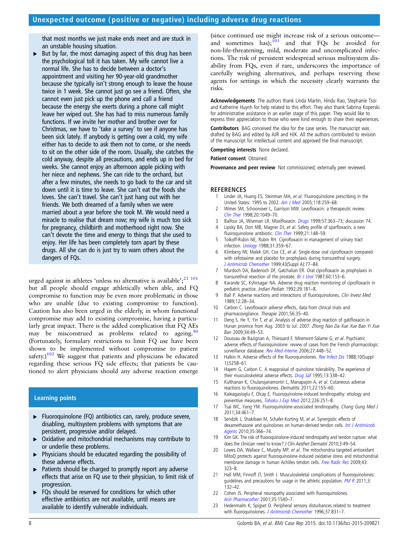<span id="page-7-0"></span>that most months we just make ends meet and are stuck in an unstable housing situation.

 $\triangleright$  But by far, the most damaging aspect of this drug has been the psychological toll it has taken. My wife cannot live a normal life. She has to decide between a doctor's appointment and visiting her 90-year-old grandmother because she typically isn't strong enough to leave the house twice in 1 week. She cannot just go see a friend. Often, she cannot even just pick up the phone and call a friend because the energy she exerts during a phone call might leave her wiped out. She has had to miss numerous family functions. If we invite her mother and brother over for Christmas, we have to 'take a survey' to see if anyone has been sick lately. If anybody is getting over a cold, my wife either has to decide to ask them not to come, or she needs to sit on the other side of the room. Usually, she catches the cold anyway, despite all precautions, and ends up in bed for weeks. She cannot enjoy an afternoon apple picking with her niece and nephews. She can ride to the orchard, but after a few minutes, she needs to go back to the car and sit down until it is time to leave. She can't eat the foods she loves. She can't travel. She can't just hang out with her friends. We both dreamed of a family when we were married about a year before she took M. We would need a miracle to realise that dream now; my wife is much too sick for pregnancy, childbirth and motherhood right now. She can't devote the time and energy to things that she used to enjoy. Her life has been completely torn apart by these drugs. All she can do is just try to warn others about the dangers of FQs.

urged against in athletes 'unless no alternative is available';<sup>21 [101](#page-9-0)</sup> but all people should engage athletically when able, and FQ compromise to function may be even more problematic in those who are unable (due to existing compromise to function). Caution has also been urged in the elderly, in whom functional compromise may add to existing compromise, having a particularly great impact. There is the added complication that FQ AEs may be misconstrued as problems related to ageing.<sup>90</sup> (Fortunately, formulary restrictions to limit FQ use have been shown to be implemented without compromise to patient safety.) $102$  We suggest that patients and physicians be educated regarding these serious FQ side effects; that patients be cautioned to alert physicians should any adverse reaction emerge

### Learning points

- ▸ Fluoroquinolone (FQ) antibiotics can, rarely, produce severe, disabling, multisystem problems with symptoms that are persistent, progressive and/or delayed.
- ▸ Oxidative and mitochondrial mechanisms may contribute to or underlie these problems.
- ▸ Physicians should be educated regarding the possibility of these adverse effects.
- ▸ Patients should be charged to promptly report any adverse effects that arise on FQ use to their physician, to limit risk of progression.
- ▶ FQs should be reserved for conditions for which other effective antibiotics are not available, until means are available to identify vulnerable individuals.

(since continued use might increase risk of a serious outcome and sometimes has); $\frac{103}{103}$  and that FQs be avoided for non-life-threatening, mild, moderate and uncomplicated infections. The risk of persistent widespread serious multisystem disability from FQs, even if rare, underscores the importance of carefully weighing alternatives, and perhaps reserving these agents for settings in which the necessity clearly warrants the risks.

Acknowledgements The authors thank Linda Martin, Hindu Rao, Stephanie Tsoi and Katherine Huynh for help related to this effort. They also thank Sabrina Koperski for administrative assistance in an earlier stage of this paper. They would like to express their appreciation to those who were kind enough to share their experiences.

Contributors BAG conceived the idea for the case series. The manuscript was drafted by BAG and edited by AJR and HJK. All the authors contributed to revision of the manuscript for intellectual content and approved the final manuscript.

Competing interests None declared.

#### Patient consent Obtained.

Provenance and peer review Not commissioned; externally peer reviewed.

## **REFERENCES**

- Linder JA, Huang ES, Steinman MA, et al. Fluoroquinolone prescribing in the United States: 1995 to 2002. [Am J Med](http://dx.doi.org/10.1016/j.amjmed.2004.09.015) 2005;118:259–68.
- 2 Wimer SM, Schoonover L, Garrison MW. Levofloxacin: a therapeutic review. [Clin Ther](http://dx.doi.org/10.1016/S0149-2918(98)80104-5) 1998;20:1049–70.
- 3 Balfour JA, Wiseman LR. Moxifloxacin. *[Drugs](http://dx.doi.org/10.2165/00003495-199957030-00007)* 1999;57:363–73; discussion 74.<br>4 Linsky BA Dorr MR Magner DL et al. Safety profile of sparfloxacin. a new
- Lipsky BA, Dorr MB, Magner DJ, et al. Safety profile of sparfloxacin, a new fluoroquinolone antibiotic. [Clin Ther](http://dx.doi.org/10.1016/S0149-2918(00)88275-2) 1999;21:148-59.
- 5 Tolkoff-Rubin NE, Rubin RH. Ciprofloxacin in management of urinary tract infection. *[Urology](http://dx.doi.org/10.1016/0090-4295(88)90102-1)* 1988:31:359-67.
- 6 Klimberg IW, Malek GH, Cox CE, et al. Single-dose oral ciprofloxacin compared with cefotaxime and placebo for prophylaxis during transurethral surgery. [J Antimicrob Chemother](http://dx.doi.org/10.1093/jac/43.suppl_1.77) 1999;43(Suppl A):77–84.
- 7 Murdoch DA, Badenoch DF, Gatchalian ER. Oral ciprofloxacin as prophylaxis in transurethral resection of the prostate.  $Br$  J Urol 1987:60:153–6.
- 8 Karande SC, Kshirsagar NA. Adverse drug reaction monitoring of ciprofloxacin in pediatric practice. Indian Pediatr 1992;29:181–8.
- 9 Ball P. Adverse reactions and interactions of fluoroquinolones. Clin Invest Med 1989;12:28–34.
- 10 Carbon C. Levofloxacin adverse effects, data from clinical trials and pharmacovigilance. Therapie 2001;56:35–40.
- 11 Deng S, He Y, Yin T, et al. Analysis of adverse drug reaction of gatifloxacin in Hunan province from Aug. 2003 to Jul. 2007. Zhong Nan Da Xue Xue Bao Yi Xue Ban 2009;34:49–53.
- 12 Doussau de Bazignan A, Thiessard F, Miremont-Salame G, et al. Psychiatric adverse effects of fluoroquinolone: review of cases from the French pharmacologic surveillance database. [Rev Med Interne](http://dx.doi.org/10.1016/j.revmed.2006.02.003) 2006;27:448–52.
- 13 Halkin H. Adverse effects of the fluoroquinolones. [Rev Infect Dis](http://dx.doi.org/10.1093/clinids/10.Supplement_1.S258) 1988;10(Suppl 1):S258–61.
- 14 Hayem G, Carbon C. A reappraisal of quinolone tolerability. The experience of their musculoskeletal adverse effects. [Drug Saf](http://dx.doi.org/10.2165/00002018-199513060-00003) 1995;13:338-42.
- 15 Kulthanan K, Chularojanamontri L, Manapajon A, et al. Cutaneous adverse reactions to fluoroquinolones. Dermatitis 2011;22:155–60.
- 16 Kaleagasioglu F, Olcay E. Fluoroquinolone-induced tendinopathy: etiology and preventive measures. [Tohoku J Exp Med](http://dx.doi.org/10.1620/tjem.226.251) 2012;226:251-8.
- 17 Tsai WC, Yang YM. Fluoroquinolone-associated tendinopathy. Chang Gung Med J 2011;34:461–7.
- 18 Sendzik J, Shakibaei M, Schafer-Korting M, et al. Synergistic effects of dexamethasone and quinolones on human-derived tendon cells. [Int J Antimicrob](http://dx.doi.org/10.1016/j.ijantimicag.2009.10.009) [Agents](http://dx.doi.org/10.1016/j.ijantimicag.2009.10.009) 2010;35:366–74.
- 19 Kim GK. The risk of fluoroquinolone-induced tendinopathy and tendon rupture: what does the clinician need to know? J Clin Aesthet Dermatol 2010;3:49–54.
- 20 Lowes DA, Wallace C, Murphy MP, et al. The mitochondria targeted antioxidant MitoQ protects against fluoroquinolone-induced oxidative stress and mitochondrial membrane damage in human Achilles tendon cells. [Free Radic Res](http://dx.doi.org/10.1080/10715760902736275) 2009;43: 323–8.
- 21 Hall MM, Finnoff JT, Smith J. Musculoskeletal complications of fluoroquinolones: guidelines and precautions for usage in the athletic population.  $PM$  R 2011;3: 132–42.
- 22 Cohen JS. Peripheral neuropathy associated with fluoroquinolones. [Ann Pharmacother](http://dx.doi.org/10.1345/aph.1Z429) 2001;35:1540–7.
- 23 Hedenmalm K, Spigset O. Peripheral sensory disturbances related to treatment with fluoroquinolones. [J Antimicrob Chemother](http://dx.doi.org/10.1093/jac/37.4.831) 1996;37:831-7.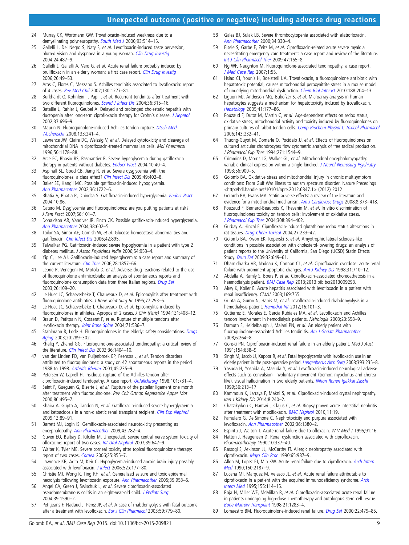### Unexpected outcome ( positive or negative) including adverse drug reactions

- <span id="page-8-0"></span>24 Murray CK, Wortmann GW. Trovafloxacin-induced weakness due to a demyelinating polyneuropathy. [South Med J](http://dx.doi.org/10.1097/00007611-200093050-00017) 2000;93:514-15.
- 25 Gallelli L, Del Negro S, Naty S, et al. Levofloxacin-induced taste perversion, blurred vision and dyspnoea in a young woman. [Clin Drug Investig](http://dx.doi.org/10.2165/00044011-200424080-00007) 2004;24:487–9.
- 26 Gallelli L, Gallelli A, Vero G, et al. Acute renal failure probably induced by prulifloxacin in an elderly woman: a first case report. [Clin Drug Investig](http://dx.doi.org/10.2165/00044011-200626010-00007) 2006;26:49–53.
- 27 Aros C, Flores C, Mezzano S. Achilles tendinitis associated to levofloxacin: report of 4 cases. [Rev Med Chil](http://dx.doi.org/10.4067/S0034-98872002001100011) 2002;130:1277–81.
- 28 Burkhardt O, Kohnlein T, Pap T, et al. Recurrent tendinitis after treatment with two different fluoroquinolones. [Scand J Infect Dis](http://dx.doi.org/10.1080/00365540410019390) 2004;36:315-16.
- 29 Bataille L, Rahier J, Geubel A. Delayed and prolonged cholestatic hepatitis with ductopenia after long-term ciprofloxacin therapy for Crohn's disease. [J Hepatol](http://dx.doi.org/10.1016/S0168-8278(02)00268-4) 2002;37:696–9.
- 30 Maurin N. Fluoroquinolone-induced Achilles tendon rupture. [Dtsch Med](http://dx.doi.org/10.1055/s-2008-1017503) [Wochenschr](http://dx.doi.org/10.1055/s-2008-1017503) 2008;133:241–4.
- 31 Lawrence JW, Claire DC, Weissig V, et al. Delayed cytotoxicity and cleavage of mitochondrial DNA in ciprofloxacin-treated mammalian cells. Mol Pharmacol 1996;50:1178–88.
- 32 Arce FC, Bhasin RS, Pasmantier R. Severe hyperglycemia during gatifloxacin therapy in patients without diabetes. [Endocr Pract](http://dx.doi.org/10.4158/EP.10.1.40) 2004;10:40-4.
- 33 Aspinall SL, Good CB, Jiang R, et al. Severe dysglycemia with the fluoroquinolones: a class effect? [Clin Infect Dis](http://dx.doi.org/10.1086/600294) 2009;49:402-8.
- 34 Baker SE, Hangii MC. Possible gatifloxacin-induced hypoglycemia. [Ann Pharmacother](http://dx.doi.org/10.1345/aph.1A480) 2002;36:1722–6.
- 35 Bhatia V, Bhatia R, Dhindsa S. Gatifloxacin-induced hyperglycemia. [Endocr Pract](http://dx.doi.org/10.4158/EP.10.1.86) 2004;10:86.
- 36 Catero M. Dysglycemia and fluoroquinolones: are you putting patients at risk? J Fam Pract 2007;56:101–7.
- 37 Donaldson AR, Vandiver JR, Finch CK. Possible gatifloxacin-induced hyperglycemia. [Ann Pharmacother](http://dx.doi.org/10.1345/aph.1D360) 2004;38:602–5.
- 38 Tailor SA, Simor AE, Cornish W, et al. Glucose homeostasis abnormalities and gatifloxacin. [Clin Infect Dis](http://dx.doi.org/10.1086/500454) 2006;42:895.
- 39 Talwalkar PG. Gatifloxacin-induced severe hypoglycemia in a patient with type 2 diabetes mellitus. J Assoc Physicians India 2006;54:953–4.
- 40 Yip C, Lee AJ. Gatifloxacin-induced hyperglycemia: a case report and summary of the current literature. *[Clin Ther](http://dx.doi.org/10.1016/j.clinthera.2006.11.014)* 2006;28:1857-66.
- 41 Leone R, Venegoni M, Motola D, et al. Adverse drug reactions related to the use of fluoroquinolone antimicrobials: an analysis of spontaneous reports and fluoroquinolone consumption data from three Italian regions. [Drug Saf](http://dx.doi.org/10.2165/00002018-200326020-00004) 2003;26:109–20.
- 42 Le Huec JC, Schaeverbeke T, Chauveaux D, et al. Epicondylitis after treatment with fluoroquinolone antibiotics. J Bone Joint Surg Br 1995;77:293-5.
- 43 Le Huec JC, Schaeverbeke T, Chauveaux D, et al. Epicondylitis induced by fluoroquinolones in athletes. Apropos of 2 cases. J Chir (Paris) 1994;131:408–12.
- 44 Braun D, Petitpain N, Cosserat F, et al. Rupture of multiple tendons after levofloxacin therapy. [Joint Bone Spine](http://dx.doi.org/10.1016/j.jbspin.2003.10.016) 2004;71:586–7.
- 45 Stahlmann R, Lode H. Fluoroquinolones in the elderly: safety considerations. [Drugs](http://dx.doi.org/10.2165/00002512-200320040-00005) [Aging](http://dx.doi.org/10.2165/00002512-200320040-00005) 2003;20:289–302.
- 46 Khaliq Y, Zhanel GG. Fluoroquinolone-associated tendinopathy: a critical review of the literature. [Clin Infect Dis](http://dx.doi.org/10.1086/375078) 2003;36:1404-10.
- 47 van der Linden PD, van Puijenbroek EP, Feenstra J, et al. Tendon disorders attributed to fluoroquinolones: a study on 42 spontaneous reports in the period 1988 to 1998. [Arthritis Rheum](http://dx.doi.org/10.1002/1529-0131(200106)45:3<235::AID-ART254>3.0.CO;2-7) 2001;45:235–9.
- 48 Petersen W, Laprell H. Insidious rupture of the Achilles tendon after ciprofloxacin-induced tendopathy. A case report. [Unfallchirurg](http://dx.doi.org/10.1007/s001130050330) 1998;101:731-4.
- 49 Saint F, Gueguen G, Biserte J, et al. Rupture of the patellar ligament one month after treatment with fluoroquinolone. Rev Chir Orthop Reparatrice Appar Mot 2000;86:495–7.
- 50 Khaira A, Gupta A, Tandon N, et al. Gatifloxacin-induced severe hyperglycaemia and ketoacidosis in a non-diabetic renal transplant recipient. [Clin Exp Nephrol](http://dx.doi.org/10.1007/s10157-008-0072-3) 2009;13:89–91.
- 51 Barrett MJ, Login IS. Gemifloxacin-associated neurotoxicity presenting as encephalopathy. [Ann Pharmacother](http://dx.doi.org/10.1345/aph.1L621) 2009;43:782–4.
- 52 Guven EO, Balbay D, Kilciler M. Unexpected, severe central nerve system toxicity of ofloxacine: report of two cases. [Int Urol Nephrol](http://dx.doi.org/10.1007/s11255-006-0068-4) 2007;39:647-9
- 53 Walter K, Tyler ME. Severe corneal toxicity after topical fluoroquinolone therapy: report of two cases. [Cornea](http://dx.doi.org/10.1097/01.ico.0000224642.43601.14) 2006;25:855-7.
- 54 Lawrence KR, Adra M, Keir C. Hypoglycemia-induced anoxic brain injury possibly associated with levofloxacin. [J Infect](http://dx.doi.org/10.1016/j.jinf.2005.08.024) 2006;52:e177-80.
- 55 Christie MJ, Wong K, Ting RH, et al. Generalized seizure and toxic epidermal necrolysis following levofloxacin exposure. [Ann Pharmacother](http://dx.doi.org/10.1345/aph.1E587) 2005;39:953–5.
- 56 Angel CA, Green J, Swischuk L, et al. Severe ciprofloxacin-associated pseudomembranous colitis in an eight-year-old child. [J Pediatr Surg](http://dx.doi.org/10.1016/j.jpedsurg.2004.06.028) 2004;39:1590–2.
- 57 Petitjeans F, Nadaud J, Perez JP, et al. A case of rhabdomyolysis with fatal outcome after a treatment with levofloxacin. [Eur J Clin Pharmacol](http://dx.doi.org/10.1007/s00228-003-0688-x) 2003;59:779-80.
- 58 Gales BJ, Sulak LB. Severe thrombocytopenia associated with alatrofloxacin. [Ann Pharmacother](http://dx.doi.org/10.1345/aph.19224) 2000;34:330–4.
- 59 Eisele S, Garbe E, Zeitz M, et al. Ciprofloxacin-related acute severe myalgia necessitating emergency care treatment: a case report and review of the literature. [Int J Clin Pharmacol Ther](http://dx.doi.org/10.5414/CPP47165) 2009;47:165-8.
- 60 Ng WF, Naughton M. Fluoroquinolone-associated tendinopathy: a case report. [J Med Case Rep](http://dx.doi.org/10.1186/1752-1947-1-55) 2007;1:55.
- 61 Hsiao CJ, Younis H, Boelsterli UA. Trovafloxacin, a fluoroquinolone antibiotic with hepatotoxic potential, causes mitochondrial peroxynitrite stress in a mouse model of underlying mitochondrial dysfunction. [Chem Biol Interact](http://dx.doi.org/10.1016/j.cbi.2010.07.017) 2010;188:204-13.
- 62 Liguori MJ, Anderson MG, Bukofzer S, et al. Microarray analysis in human hepatocytes suggests a mechanism for hepatotoxicity induced by trovafloxacin. [Hepatology](http://dx.doi.org/10.1002/hep.20514) 2005;41:177–86.
- 63 Pouzaud F, Dutot M, Martin C, et al. Age-dependent effects on redox status, oxidative stress, mitochondrial activity and toxicity induced by fluoroquinolones on primary cultures of rabbit tendon cells. [Comp Biochem Physiol C Toxicol Pharmacol](http://dx.doi.org/10.1016/j.cbpc.2006.02.006) 2006;143:232–41.
- 64 Thuong-Guyot M, Domarle O, Pocidalo JJ, et al. Effects of fluoroquinolones on cultured articular chondrocytes flow cytometric analysis of free radical production. J Pharmacol Exp Ther 1994;271:1544–9.
- 65 Crimmins D, Morris JG, Walker GL, et al. Mitochondrial encephalomyopathy: variable clinical expression within a single kindred. [J Neurol Neurosurg Psychiatry](http://dx.doi.org/10.1136/jnnp.56.8.900) 1993;56:900–5.
- 66 Golomb BA. Oxidative stress and mitochondrial injury in chronic multisymptom conditions: From Gulf War illness to autism spectrum disorder. Nature Precedings [<http://hdl.handle.net/10101/npre.2012.6847.1>](http://hdl.handle.net/10101/npre.2012.6847.1) (2012) 2012
- 67 Golomb BA, Evans MA. Statin adverse effects: a review of the literature and evidence for a mitochondrial mechanism. [Am J Cardiovasc Drugs](http://dx.doi.org/10.2165/0129784-200808060-00004) 2008;8:373-418.
- 68 Pouzaud F, Bernard-Beaubois K, Thevenin M, et al. In vitro discrimination of fluoroquinolones toxicity on tendon cells: involvement of oxidative stress. [J Pharmacol Exp Ther](http://dx.doi.org/10.1124/jpet.103.057984) 2004;308:394–402.
- 69 Gurbay A, Hincal F. Ciprofloxacin-induced glutathione redox status alterations in rat tissues. [Drug Chem Toxicol](http://dx.doi.org/10.1081/DCT-120037504) 2004;27:233–42.
- 70 Golomb BA, Kwon EK, Koperski S, et al. Amyotrophic lateral sclerosis-like conditions in possible association with cholesterol-lowering drugs: an analysis of patient reports to the University of California, San Diego (UCSD) Statin Effects Study. [Drug Saf](http://dx.doi.org/10.2165/00002018-200932080-00004) 2009;32:649–61.
- 71 Dharnidharka VR, Nadeau K, Cannon CL, et al. Ciprofloxacin overdose: acute renal failure with prominent apoptotic changes. [Am J Kidney Dis](http://dx.doi.org/10.1053/ajkd.1998.v31.pm9531191) 1998;31:710-12.
- 72 Abdalla A, Ramly S, Boers P, et al. Ciprofloxacin-associated choreoathetosis in a haemodialysis patient. [BMJ Case Rep](http://dx.doi.org/10.1136/bcr-2013-009293) 2013;2013:pii: bcr2013009293.
- 73 Airey K, Koller E. Acute hepatitis associated with levofloxacin in a patient with renal insufficiency. CMAJ 2003;169:755.
- 74 Gupta A, Guron N, Harris M, et al. Levofloxacin-induced rhabdomyolysis in a hemodialysis patient. [Hemodial Int](http://dx.doi.org/10.1111/j.1542-4758.2011.00592.x) 2012;16:101-3.
- 75 Gutierrez E, Morales E, Garcia Rubiales MA, et al. Levofloxacin and Achilles tendon involvement in hemodialysis patients. Nefrologia 2003;23:558–9.
- 76 Damuth E, Heidelbaugh J, Malani PN, et al. An elderly patient with fluoroquinolone-associated Achilles tendinitis. [Am J Geriatr Pharmacother](http://dx.doi.org/10.1016/j.amjopharm.2008.11.002) 2008;6:264–8.
- 77 Gonski PN. Ciprofloxacin-induced renal failure in an elderly patient. Med J Aust 1991;154:638–9.
- 78 Singh M, Jacob JJ, Kapoor R, et al. Fatal hypoglycemia with levofloxacin use in an elderly patient in the post-operative period. [Langenbecks Arch Surg](http://dx.doi.org/10.1007/s00423-007-0268-0) 2008;393:235-8.
- Yasuda H, Yoshida A, Masuda Y, et al. Levofloxacin-induced neurological adverse effects such as convulsion, involuntary movement (tremor, myoclonus and chorea like), visual hallucination in two elderly patients. [Nihon Ronen Igakkai Zasshi](http://dx.doi.org/10.3143/geriatrics.36.213) 1999;36:213–17.
- 80 Kammoun K, Jarraya F, Makni S, et al. Ciprofloxacin-induced crystal nephropathy. Iran J Kidney Dis 2014;8:240–2.
- 81 Chatzikyrkou C, Hamwi I, Clajus C, et al. Biopsy proven acute interstitial nephritis after treatment with moxifloxacin. [BMC Nephrol](http://dx.doi.org/10.1186/1471-2369-11-19) 2010;11:19.
- 82 Famularo G, De Simone C. Nephrotoxicity and purpura associated with levofloxacin. [Ann Pharmacother](http://dx.doi.org/10.1345/aph.1A474) 2002;36:1380–2.
- 83 Espiritu J, Walton T. Acute renal failure due to ofloxacin. W V Med J 1995;91:16.
- 84 Hatton J, Haagensen D. Renal dysfunction associated with ciprofloxacin. Pharmacotherapy 1990;10:337-40.
- 85 Rastogi S, Atkinson JL, McCarthy JT. Allergic nephropathy associated with ciprofloxacin. [Mayo Clin Proc](http://dx.doi.org/10.1016/S0025-6196(12)65160-X) 1990;65:987-9.
- 86 Allon M, Lopez EJ, Min KW. Acute renal failure due to ciprofloxacin. [Arch Intern](http://dx.doi.org/10.1001/archinte.1990.00390210141030) [Med](http://dx.doi.org/10.1001/archinte.1990.00390210141030) 1990;150:2187–9.
- 87 Lucena MI, Marquez M, Velasco JL, et al. Acute renal failure attributable to ciprofloxacin in a patient with the acquired immunodeficiency syndrome. [Arch](http://dx.doi.org/10.1001/archinte.1995.00430010122017) [Intern Med](http://dx.doi.org/10.1001/archinte.1995.00430010122017) 1995;155:114–15.
- Raja N, Miller WE, McMillan R, et al. Ciprofloxacin-associated acute renal failure in patients undergoing high-dose chemotherapy and autologous stem cell rescue. [Bone Marrow Transplant](http://dx.doi.org/10.1038/sj.bmt.1701256) 1998;21:1283–4.
- 89 Lomaestro BM. Fluoroquinolone-induced renal failure. [Drug Saf](http://dx.doi.org/10.2165/00002018-200022060-00006) 2000;22:479-85.